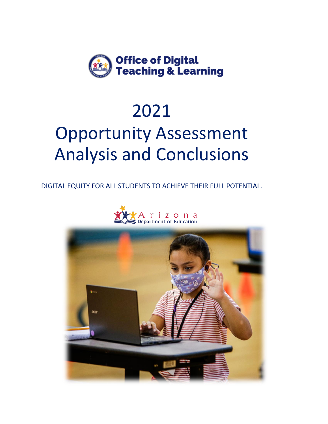

## 2021

# Opportunity Assessment Analysis and Conclusions

DIGITAL EQUITY FOR ALL STUDENTS TO ACHIEVE THEIR FULL POTENTIAL.



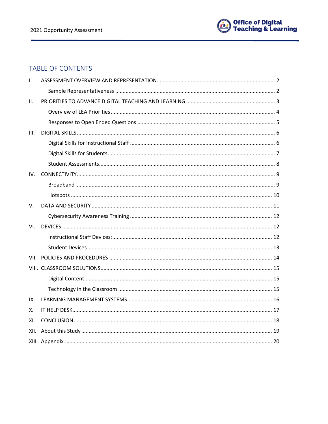

## TABLE OF CONTENTS

| $\mathsf{L}$ |  |
|--------------|--|
|              |  |
| Ш.           |  |
|              |  |
|              |  |
| III.         |  |
|              |  |
|              |  |
|              |  |
| IV.          |  |
|              |  |
|              |  |
| V.           |  |
|              |  |
| VI.          |  |
|              |  |
|              |  |
|              |  |
|              |  |
|              |  |
|              |  |
|              |  |
| IX.          |  |
| Χ.           |  |
| XI.          |  |
| XII.         |  |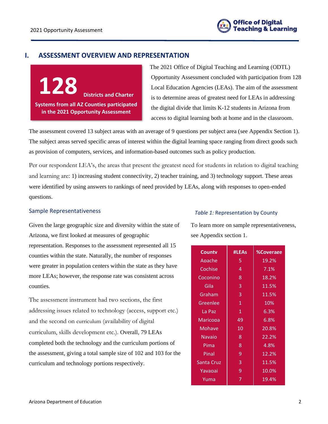

## <span id="page-2-0"></span>**I. ASSESSMENT OVERVIEW AND REPRESENTATION**

**128 Districts and Charter Systems from all AZ Counties participated in the 2021 Opportunity Assessment**

The 2021 Office of Digital Teaching and Learning (ODTL) Opportunity Assessment concluded with participation from 128 Local Education Agencies (LEAs). The aim of the assessment is to determine areas of greatest need for LEAs in addressing the digital divide that limits K-12 students in Arizona from access to digital learning both at home and in the classroom.

The assessment covered 13 subject areas with an average of 9 questions per subject area (see Appendix Section 1). The subject areas served specific areas of interest within the digital learning space ranging from direct goods such as provision of computers, services, and information-based outcomes such as policy production.

Per our respondent LEA's, the areas that present the greatest need for students in relation to digital teaching and learning are: 1) increasing student connectivity, 2) teacher training, and 3) technology support. These areas were identified by using answers to rankings of need provided by LEAs, along with responses to open-ended questions.

#### <span id="page-2-1"></span>Sample Representativeness

Given the large geographic size and diversity within the state of Arizona, we first looked at measures of geographic representation. Responses to the assessment represented all 15 counties within the state. Naturally, the number of responses were greater in population centers within the state as they have more LEAs; however, the response rate was consistent across counties.

The assessment instrument had two sections, the first addressing issues related to technology (access, support etc.) and the second on curriculum (availability of digital curriculum, skills development etc.). Overall, 79 LEAs completed both the technology and the curriculum portions of the assessment, giving a total sample size of 102 and 103 for the curriculum and technology portions respectively.

#### *Table 1:* Representation by County

To learn more on sample representativeness, see Appendix section 1.

| County     | #LEAs | <b>%Coverage</b> |
|------------|-------|------------------|
| Apache     | 5     | 19.2%            |
| Cochise    | 4     | 7.1%             |
| Coconino   | 8     | 18.2%            |
| Gila       | 3     | 11.5%            |
| Graham     | 3     | 11.5%            |
| Greenlee   | 1     | 10%              |
| La Paz     | 1     | 6.3%             |
| Maricopa   | 49    | 6.8%             |
| Mohave     | 10    | 20.8%            |
| Navaio     | 8     | 22.2%            |
| Pima       | 8     | 4.8%             |
| Pinal      | 9     | 12.2%            |
| Santa Cruz | 3     | 11.5%            |
| Yavapai    | 9     | 10.0%            |
| Yuma       | 7     | 19.4%            |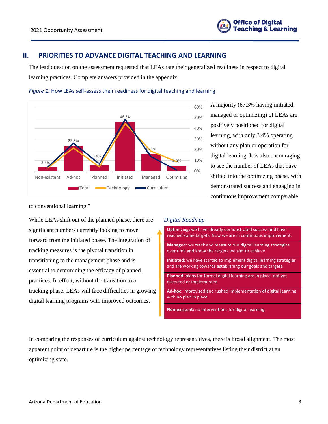

## <span id="page-3-0"></span>**II. PRIORITIES TO ADVANCE DIGITAL TEACHING AND LEARNING**

The lead question on the assessment requested that LEAs rate their generalized readiness in respect to digital learning practices. Complete answers provided in the appendix.





A majority (67.3% having initiated, managed or optimizing) of LEAs are positively positioned for digital learning, with only 3.4% operating without any plan or operation for digital learning. It is also encouraging to see the number of LEAs that have shifted into the optimizing phase, with demonstrated success and engaging in continuous improvement comparable

to conventional learning."

While LEAs shift out of the planned phase, there are significant numbers currently looking to move forward from the initiated phase. The integration of tracking measures is the pivotal transition in transitioning to the management phase and is essential to determining the efficacy of planned practices. In effect, without the transition to a tracking phase, LEAs will face difficulties in growing digital learning programs with improved outcomes.

#### *Digital Roadmap*



In comparing the responses of curriculum against technology representatives, there is broad alignment. The most apparent point of departure is the higher percentage of technology representatives listing their district at an optimizing state.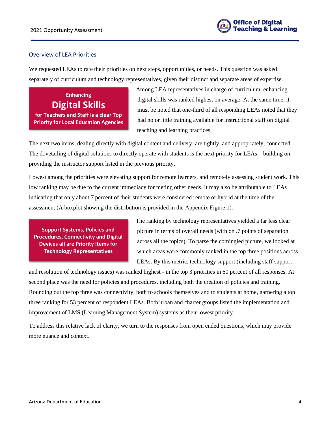

## <span id="page-4-0"></span>Overview of LEA Priorities

We requested LEAs to rate their priorities on next steps, opportunities, or needs. This question was asked separately of curriculum and technology representatives, given their distinct and separate areas of expertise.

**Enhancing Digital Skills for Teachers and Staff is a clear Top Priority for Local Education Agencies** Among LEA representatives in charge of curriculum, enhancing digital skills was ranked highest on average. At the same time, it must be noted that one-third of all responding LEAs noted that they had no or little training available for instructional staff on digital teaching and learning practices.

The next two items, dealing directly with digital content and delivery, are tightly, and appropriately, connected. The dovetailing of digital solutions to directly operate with students is the next priority for LEAs – building on providing the instructor support listed in the previous priority.

Lowest among the priorities were elevating support for remote learners, and remotely assessing student work. This low ranking may be due to the current immediacy for meting other needs. It may also be attributable to LEAs indicating that only about 7 percent of their students were considered remote or hybrid at the time of the assessment (A boxplot showing the distribution is provided in the Appendix Figure 1).

**Support Systems, Policies and Procedures, Connectivity and Digital Devices all are Priority Items for Technology Representatives**

The ranking by technology representatives yielded a far less clear picture in terms of overall needs (with on .7 points of separation across all the topics). To parse the comingled picture, we looked at which areas were commonly ranked in the top three positions across LEAs. By this metric, technology support (including staff support

and resolution of technology issues) was ranked highest - in the top 3 priorities in 60 percent of all responses. At second place was the need for policies and procedures, including both the creation of policies and training. Rounding out the top three was connectivity, both to schools themselves and to students at home, garnering a top three ranking for 53 percent of respondent LEAs. Both urban and charter groups listed the implementation and improvement of LMS (Learning Management System) systems as their lowest priority.

To address this relative lack of clarity, we turn to the responses from open ended questions, which may provide more nuance and context.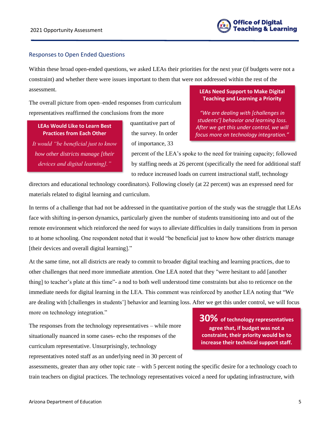## <span id="page-5-0"></span>Responses to Open Ended Questions

Within these broad open-ended questions, we asked LEAs their priorities for the next year (if budgets were not a constraint) and whether there were issues important to them that were not addressed within the rest of the assessment.

The overall picture from open–ended responses from curriculum representatives reaffirmed the conclusions from the more

## **LEAs Would Like to Learn Best Practices from Each Other**

*It would "be beneficial just to know how other districts manage [their devices and digital learning]."*

quantitative part of the survey. In order of importance, 33

## **LEAs Need Support to Make Digital Teaching and Learning a Priority**

*"We are dealing with [challenges in students'] behavior and learning loss. After we get this under control, we will focus more on technology integration."*

percent of the LEA's spoke to the need for training capacity; followed by staffing needs at 26 percent (specifically the need for additional staff to reduce increased loads on current instructional staff, technology

directors and educational technology coordinators). Following closely (at 22 percent) was an expressed need for materials related to digital learning and curriculum.

In terms of a challenge that had not be addressed in the quantitative portion of the study was the struggle that LEAs face with shifting in-person dynamics, particularly given the number of students transitioning into and out of the remote environment which reinforced the need for ways to alleviate difficulties in daily transitions from in person to at home schooling. One respondent noted that it would "be beneficial just to know how other districts manage [their devices and overall digital learning]."

At the same time, not all districts are ready to commit to broader digital teaching and learning practices, due to other challenges that need more immediate attention. One LEA noted that they "were hesitant to add [another thing] to teacher's plate at this time"- a nod to both well understood time constraints but also to reticence on the immediate needs for digital learning in the LEA. This comment was reinforced by another LEA noting that "We are dealing with [challenges in students'] behavior and learning loss. After we get this under control, we will focus more on technology integration."

The responses from the technology representatives – while more situationally nuanced in some cases- echo the responses of the curriculum representative. Unsurprisingly, technology representatives noted staff as an underlying need in 30 percent of **30% of technology representatives agree that, if budget was not a constraint, their priority would be to increase their technical support staff.**

assessments, greater than any other topic rate – with 5 percent noting the specific desire for a technology coach to train teachers on digital practices. The technology representatives voiced a need for updating infrastructure, with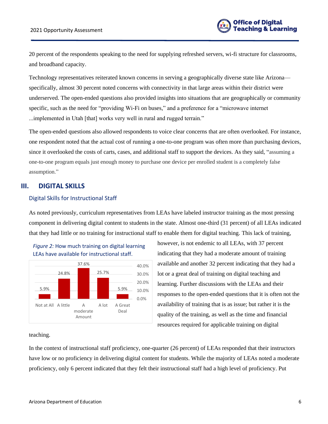20 percent of the respondents speaking to the need for supplying refreshed servers, wi-fi structure for classrooms, and broadband capacity.

Technology representatives reiterated known concerns in serving a geographically diverse state like Arizona specifically, almost 30 percent noted concerns with connectivity in that large areas within their district were underserved. The open-ended questions also provided insights into situations that are geographically or community specific, such as the need for "providing Wi-Fi on buses," and a preference for a "microwave internet ...implemented in Utah [that] works very well in rural and rugged terrain."

The open-ended questions also allowed respondents to voice clear concerns that are often overlooked. For instance, one respondent noted that the actual cost of running a one-to-one program was often more than purchasing devices, since it overlooked the costs of carts, cases, and additional staff to support the devices. As they said, "assuming a one-to-one program equals just enough money to purchase one device per enrolled student is a completely false assumption."

## <span id="page-6-0"></span>**III. DIGITAL SKILLS**

#### <span id="page-6-1"></span>Digital Skills for Instructional Staff

As noted previously, curriculum representatives from LEAs have labeled instructor training as the most pressing component in delivering digital content to students in the state. Almost one-third (31 percent) of all LEAs indicated that they had little or no training for instructional staff to enable them for digital teaching. This lack of training,



however, is not endemic to all LEAs, with 37 percent indicating that they had a moderate amount of training available and another 32 percent indicating that they had a lot or a great deal of training on digital teaching and learning. Further discussions with the LEAs and their responses to the open-ended questions that it is often not the availability of training that is as issue; but rather it is the quality of the training, as well as the time and financial resources required for applicable training on digital

#### teaching.

In the context of instructional staff proficiency, one-quarter (26 percent) of LEAs responded that their instructors have low or no proficiency in delivering digital content for students. While the majority of LEAs noted a moderate proficiency, only 6 percent indicated that they felt their instructional staff had a high level of proficiency. Put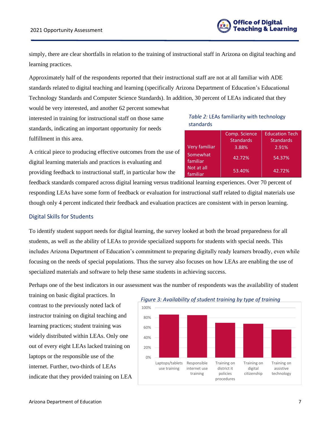

simply, there are clear shortfalls in relation to the training of instructional staff in Arizona on digital teaching and learning practices.

Approximately half of the respondents reported that their instructional staff are not at all familiar with ADE standards related to digital teaching and learning (specifically Arizona Department of Education's Educational Technology Standards and Computer Science Standards). In addition, 30 percent of LEAs indicated that they

would be very interested, and another 62 percent somewhat interested in training for instructional staff on those same standards, indicating an important opportunity for needs fulfillment in this area.

## *Table 2:* LEAs familiarity with technology standards

|    |                         | Comp. Science    | <b>Education Tech</b> |
|----|-------------------------|------------------|-----------------------|
|    |                         | <b>Standards</b> | <b>Standards</b>      |
|    | Very familiar           | 3.88%            | 2.91%                 |
| эf | Somewhat<br>familiar    | 42.72%           | 54.37%                |
|    | Not at all<br>'familiar | 53.40%           | 42.72%                |

A critical piece to producing effective outcomes from the use of digital learning materials and practices is evaluating and providing feedback to instructional staff, in particular how the

feedback standards compared across digital learning versus traditional learning experiences. Over 70 percent of responding LEAs have some form of feedback or evaluation for instructional staff related to digital materials use though only 4 percent indicated their feedback and evaluation practices are consistent with in person learning.

## <span id="page-7-0"></span>Digital Skills for Students

To identify student support needs for digital learning, the survey looked at both the broad preparedness for all students, as well as the ability of LEAs to provide specialized supports for students with special needs. This includes Arizona Department of Education's commitment to preparing digitally ready learners broadly, even while focusing on the needs of special populations. Thus the survey also focuses on how LEAs are enabling the use of specialized materials and software to help these same students in achieving success.

Perhaps one of the best indicators in our assessment was the number of respondents was the availability of student

training on basic digital practices. In contrast to the previously noted lack of instructor training on digital teaching and learning practices; student training was widely distributed within LEAs. Only one out of every eight LEAs lacked training on laptops or the responsible use of the internet. Further, two-thirds of LEAs indicate that they provided training on LEA



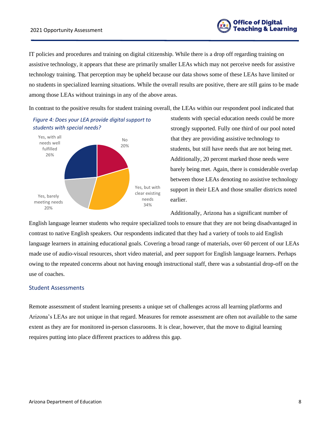

IT policies and procedures and training on digital citizenship. While there is a drop off regarding training on assistive technology, it appears that these are primarily smaller LEAs which may not perceive needs for assistive technology training. That perception may be upheld because our data shows some of these LEAs have limited or no students in specialized learning situations. While the overall results are positive, there are still gains to be made among those LEAs without trainings in any of the above areas.

In contrast to the positive results for student training overall, the LEAs within our respondent pool indicated that

## *Figure 4: Does your LEA provide digital support to students with special needs?*



students with special education needs could be more strongly supported. Fully one third of our pool noted that they are providing assistive technology to students, but still have needs that are not being met. Additionally, 20 percent marked those needs were barely being met. Again, there is considerable overlap between those LEAs denoting no assistive technology support in their LEA and those smaller districts noted earlier.

Additionally, Arizona has a significant number of

English language learner students who require specialized tools to ensure that they are not being disadvantaged in contrast to native English speakers. Our respondents indicated that they had a variety of tools to aid English language learners in attaining educational goals. Covering a broad range of materials, over 60 percent of our LEAs made use of audio-visual resources, short video material, and peer support for English language learners. Perhaps owing to the repeated concerns about not having enough instructional staff, there was a substantial drop-off on the use of coaches.

#### <span id="page-8-0"></span>Student Assessments

Remote assessment of student learning presents a unique set of challenges across all learning platforms and Arizona's LEAs are not unique in that regard. Measures for remote assessment are often not available to the same extent as they are for monitored in-person classrooms. It is clear, however, that the move to digital learning requires putting into place different practices to address this gap.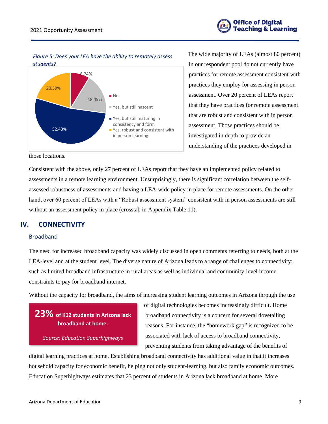

*Figure 5: Does your LEA have the ability to remotely assess students?*



The wide majority of LEAs (almost 80 percent) in our respondent pool do not currently have practices for remote assessment consistent with practices they employ for assessing in person assessment. Over 20 percent of LEAs report that they have practices for remote assessment that are robust and consistent with in person assessment. Those practices should be investigated in depth to provide an understanding of the practices developed in

those locations.

Consistent with the above, only 27 percent of LEAs report that they have an implemented policy related to assessments in a remote learning environment. Unsurprisingly, there is significant correlation between the selfassessed robustness of assessments and having a LEA-wide policy in place for remote assessments. On the other hand, over 60 percent of LEAs with a "Robust assessment system" consistent with in person assessments are still without an assessment policy in place (crosstab in Appendix Table 11).

## <span id="page-9-0"></span>**IV. CONNECTIVITY**

## <span id="page-9-1"></span>Broadband

The need for increased broadband capacity was widely discussed in open comments referring to needs, both at the LEA-level and at the student level. The diverse nature of Arizona leads to a range of challenges to connectivity: such as limited broadband infrastructure in rural areas as well as individual and community-level income constraints to pay for broadband internet.

Without the capacity for broadband, the aims of increasing student learning outcomes in Arizona through the use

**23% of K12 students in Arizona lack broadband at home.**

*Source: Education Superhighways*

of digital technologies becomes increasingly difficult. Home broadband connectivity is a concern for several dovetailing reasons. For instance, the "homework gap" is recognized to be associated with lack of access to broadband connectivity, preventing students from taking advantage of the benefits of

digital learning practices at home. Establishing broadband connectivity has additional value in that it increases household capacity for economic benefit, helping not only student-learning, but also family economic outcomes. Education Superhighways estimates that 23 percent of students in Arizona lack broadband at home. More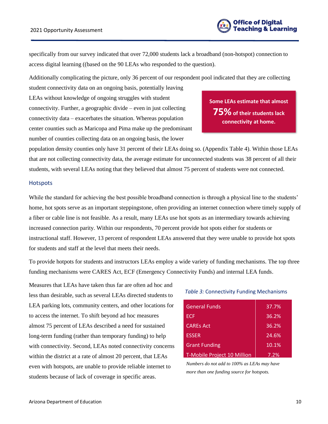

specifically from our survey indicated that over 72,000 students lack a broadband (non-hotspot) connection to access digital learning ((based on the 90 LEAs who responded to the question).

Additionally complicating the picture, only 36 percent of our respondent pool indicated that they are collecting

student connectivity data on an ongoing basis, potentially leaving LEAs without knowledge of ongoing struggles with student connectivity. Further, a geographic divide – even in just collecting connectivity data – exacerbates the situation. Whereas population center counties such as Maricopa and Pima make up the predominant number of counties collecting data on an ongoing basis, the lower

**Some LEAs estimate that almost 75%of their students lack connectivity at home.**

population density counties only have 31 percent of their LEAs doing so. (Appendix Table 4). Within those LEAs that are not collecting connectivity data, the average estimate for unconnected students was 38 percent of all their students, with several LEAs noting that they believed that almost 75 percent of students were not connected.

#### <span id="page-10-0"></span>**Hotspots**

While the standard for achieving the best possible broadband connection is through a physical line to the students' home, hot spots serve as an important steppingstone, often providing an internet connection where timely supply of a fiber or cable line is not feasible. As a result, many LEAs use hot spots as an intermediary towards achieving increased connection parity. Within our respondents, 70 percent provide hot spots either for students or instructional staff. However, 13 percent of respondent LEAs answered that they were unable to provide hot spots for students and staff at the level that meets their needs.

To provide hotpots for students and instructors LEAs employ a wide variety of funding mechanisms. The top three funding mechanisms were CARES Act, ECF (Emergency Connectivity Funds) and internal LEA funds.

Measures that LEAs have taken thus far are often ad hoc and less than desirable, such as several LEAs directed students to LEA parking lots, community centers, and other locations for to access the internet. To shift beyond ad hoc measures almost 75 percent of LEAs described a need for sustained long-term funding (rather than temporary funding) to help with connectivity. Second, LEAs noted connectivity concerns within the district at a rate of almost 20 percent, that LEAs even with hotspots, are unable to provide reliable internet to students because of lack of coverage in specific areas.

## *Table 3:* Connectivity Funding Mechanisms

| <b>General Funds</b>        | 37.7% |
|-----------------------------|-------|
| <b>ECF</b>                  | 36.2% |
| <b>CARES Act</b>            | 36.2% |
| <b>ESSER</b>                | 24.6% |
| <b>Grant Funding</b>        | 10.1% |
| T-Mobile Project 10 Million | 7.2%  |

*Numbers do not add to 100% as LEAs may have more than one funding source for hotspots.*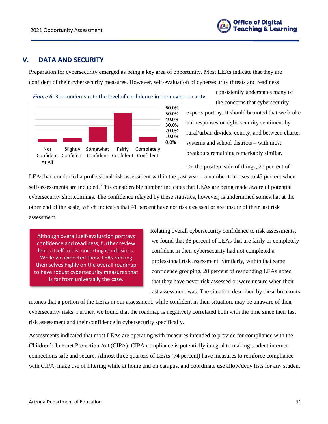

consistently understates many of

## <span id="page-11-0"></span>**V. DATA AND SECURITY**

Preparation for cybersecurity emerged as being a key area of opportunity. Most LEAs indicate that they are confident of their cybersecurity measures. However, self-evaluation of cybersecurity threats and readiness



the concerns that cybersecurity experts portray. It should be noted that we broke out responses on cybersecurity sentiment by rural/urban divides, county, and between charter systems and school districts – with most breakouts remaining remarkably similar.

On the positive side of things, 26 percent of

LEAs had conducted a professional risk assessment within the past year – a number that rises to 45 percent when self-assessments are included. This considerable number indicates that LEAs are being made aware of potential cybersecurity shortcomings. The confidence relayed by these statistics, however, is undermined somewhat at the other end of the scale, which indicates that 41 percent have not risk assessed or are unsure of their last risk assessment.

Although overall self-evaluation portrays confidence and readiness, further review lends itself to disconcerting conclusions. While we expected those LEAs ranking themselves highly on the overall roadmap to have robust cybersecurity measures that is far from universally the case.

Relating overall cybersecurity confidence to risk assessments, we found that 38 percent of LEAs that are fairly or completely confident in their cybersecurity had not completed a professional risk assessment. Similarly, within that same confidence grouping, 28 percent of responding LEAs noted that they have never risk assessed or were unsure when their last assessment was. The situation described by these breakouts

intones that a portion of the LEAs in our assessment, while confident in their situation, may be unaware of their cybersecurity risks. Further, we found that the roadmap is negatively correlated both with the time since their last risk assessment and their confidence in cybersecurity specifically.

Assessments indicated that most LEAs are operating with measures intended to provide for compliance with the Children's Internet Protection Act (CIPA). CIPA compliance is potentially integral to making student internet connections safe and secure. Almost three quarters of LEAs (74 percent) have measures to reinforce compliance with CIPA, make use of filtering while at home and on campus, and coordinate use allow/deny lists for any student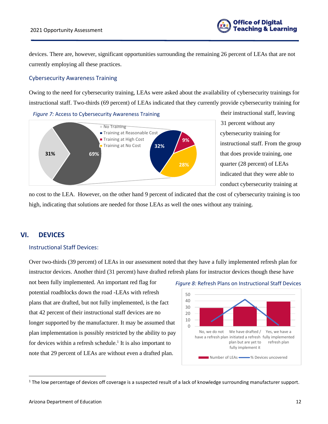

devices. There are, however, significant opportunities surrounding the remaining 26 percent of LEAs that are not currently employing all these practices.

## <span id="page-12-0"></span>Cybersecurity Awareness Training

Owing to the need for cybersecurity training, LEAs were asked about the availability of cybersecurity trainings for instructional staff. Two-thirds (69 percent) of LEAs indicated that they currently provide cybersecurity training for





their instructional staff, leaving 31 percent without any cybersecurity training for instructional staff. From the group that does provide training, one quarter (28 percent) of LEAs indicated that they were able to conduct cybersecurity training at

no cost to the LEA. However, on the other hand 9 percent of indicated that the cost of cybersecurity training is too high, indicating that solutions are needed for those LEAs as well the ones without any training.

## <span id="page-12-1"></span>**VI. DEVICES**

## <span id="page-12-2"></span>Instructional Staff Devices:

Over two-thirds (39 percent) of LEAs in our assessment noted that they have a fully implemented refresh plan for instructor devices. Another third (31 percent) have drafted refresh plans for instructor devices though these have

not been fully implemented. An important red flag for potential roadblocks down the road -LEAs with refresh plans that are drafted, but not fully implemented, is the fact that 42 percent of their instructional staff devices are no longer supported by the manufacturer. It may be assumed that plan implementation is possibly restricted by the ability to pay for devices within a refresh schedule.<sup>1</sup> It is also important to note that 29 percent of LEAs are without even a drafted plan.



#### *Figure 8:* Refresh Plans on Instructional Staff Devices

 $1$  The low percentage of devices off coverage is a suspected result of a lack of knowledge surrounding manufacturer support.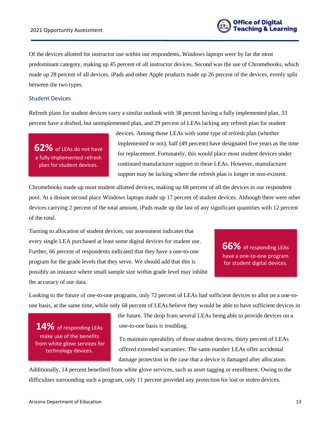

Of the devices allotted for instructor use within our respondents, Windows laptops were by far the most predominant category, making up 45 percent of all instructor devices. Second was the use of Chromebooks, which made up 28 percent of all devices. iPads and other Apple products made up 26 percent of the devices, evenly split between the two types.

## <span id="page-13-0"></span>Student Devices

Refresh plans for student devices carry a similar outlook with 38 percent having a fully implemented plan, 33 percent have a drafted, but unimplemented plan, and 29 percent of LEAs lacking any refresh plan for student

**62%** of LEAs do not have a fully implemented refresh plan for student devices.

devices. Among those LEAs with some type of refresh plan (whether implemented or not), half (49 percent) have designated five years as the time for replacement. Fortunately, this would place most student devices under continued manufacturer support in these LEAs. However, manufacturer support may be lacking where the refresh plan is longer or non-existent.

Chromebooks made up most student allotted devices, making up 68 percent of all the devices in our respondent pool. At a distant second place Windows laptops made up 17 percent of student devices. Although there were other devices carrying 2 percent of the total amount, iPads made up the last of any significant quantities with 12 percent of the total.

Turning to allocation of student devices, our assessment indicates that every single LEA purchased at least some digital devices for student use. Further, 66 percent of respondents indicated that they have a one-to-one program for the grade levels that they serve. We should add that this is possibly an instance where small sample size within grade level may inhibit the accuracy of our data.

**66%** of responding LEAs have a one-to-one program for student digital devices.

Looking to the future of one-to-one programs, only 72 percent of LEAs had sufficient devices to allot on a one-toone basis, at the same time, while only 68 percent of LEAs believe they would be able to have sufficient devices in

**14%** of responding LEAs make use of the benefits from white glove services for technology devices.

the future. The drop from several LEAs being able to provide devices on a one-to-one basis is troubling.

To maintain operability of those student devices, thirty percent of LEAs offered extended warranties. The same number LEAs offer accidental damage protection in the case that a device is damaged after allocation.

Additionally, 14 percent benefited from white glove services, such as asset tagging or enrollment. Owing to the difficulties surrounding such a program, only 11 percent provided any protection for lost or stolen devices.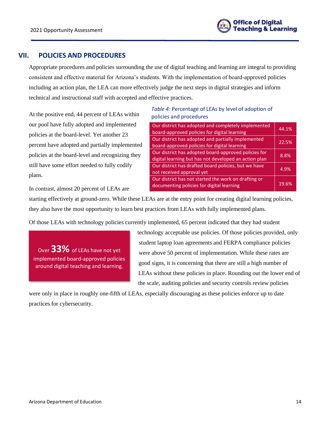## <span id="page-14-0"></span>**VII. POLICIES AND PROCEDURES**

Appropriate procedures and policies surrounding the use of digital teaching and learning are integral to providing consistent and effective material for Arizona's students. With the implementation of board-approved policies including an action plan, the LEA can more effectively judge the next steps in digital strategies and inform technical and instructional staff with accepted and effective practices.

At the positive end, 44 percent of LEAs within our pool have fully adopted and implemented policies at the board-level. Yet another 23 percent have adopted and partially implemented policies at the board-level and recognizing they still have some effort needed to fully codify plans.

## *Table 4:* Percentage of LEAs by level of adoption of policies and procedures

| Our district has adopted and completely implemented<br>board-approved policies for digital learning           | 44.1% |
|---------------------------------------------------------------------------------------------------------------|-------|
| Our district has adopted and partially implemented<br>board-approved policies for digital learning            | 22.5% |
| Our district has adopted board-approved policies for<br>digital learning but has not developed an action plan | 8.8%  |
| Our district has drafted board policies, but we have<br>not received approval yet                             | 4.9%  |
| Our district has not started the work on drafting or<br>documenting policies for digital learning             | 19.6% |

In contrast, almost 20 percent of LEAs are

starting effectively at ground-zero. While these LEAs are at the entry point for creating digital learning policies, they also have the most opportunity to learn best practices from LEAs with fully implemented plans.

Of those LEAs with technology policies currently implemented, 65 percent indicated that they had student

Over**33%** of LEAs have not yet implemented board-approved policies around digital teaching and learning.

technology acceptable use policies. Of those policies provided, only student laptop loan agreements and FERPA compliance policies were above 50 percent of implementation. While these rates are good signs, it is concerning that there are still a high number of LEAs without these policies in place. Rounding out the lower end of the scale, auditing policies and security controls review policies

were only in place in roughly one-fifth of LEAs, especially discouraging as these policies enforce up to date practices for cybersecurity.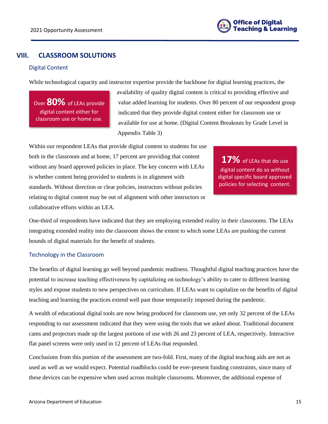

## <span id="page-15-0"></span>**VIII. CLASSROOM SOLUTIONS**

## <span id="page-15-1"></span>Digital Content

While technological capacity and instructor expertise provide the backbone for digital learning practices, the

Over **80%** of LEAs provide digital content either for classroom use or home use.

availability of quality digital content is critical to providing effective and value added learning for students. Over 80 percent of our respondent group indicated that they provide digital content either for classroom use or available for use at home. (Digital Content Breakouts by Grade Level in Appendix Table 3)

Within our respondent LEAs that provide digital content to students for use both in the classroom and at home, 17 percent are providing that content without any board approved policies in place. The key concern with LEAs is whether content being provided to students is in alignment with standards. Without direction or clear policies, instructors without policies relating to digital content may be out of alignment with other instructors or collaborative efforts within an LEA.

**17%** of LEAs that do use digital content do so without digital specific board approved policies for selecting content.

One-third of respondents have indicated that they are employing extended reality in their classrooms. The LEAs integrating extended reality into the classroom shows the extent to which some LEAs are pushing the current bounds of digital materials for the benefit of students.

#### <span id="page-15-2"></span>Technology in the Classroom

The benefits of digital learning go well beyond pandemic readiness. Thoughtful digital teaching practices have the potential to increase teaching effectiveness by capitalizing on technology's ability to cater to different learning styles and expose students to new perspectives on curriculum. If LEAs want to capitalize on the benefits of digital teaching and learning the practices extend well past those temporarily imposed during the pandemic.

A wealth of educational digital tools are now being produced for classroom use, yet only 32 percent of the LEAs responding to our assessment indicated that they were using the tools that we asked about. Traditional document cams and projectors made up the largest portions of use with 26 and 23 percent of LEA, respectively. Interactive flat panel screens were only used in 12 percent of LEAs that responded.

Conclusions from this portion of the assessment are two-fold. First, many of the digital teaching aids are not as used as well as we would expect. Potential roadblocks could be ever-present funding constraints, since many of these devices can be expensive when used across multiple classrooms. Moreover, the additional expense of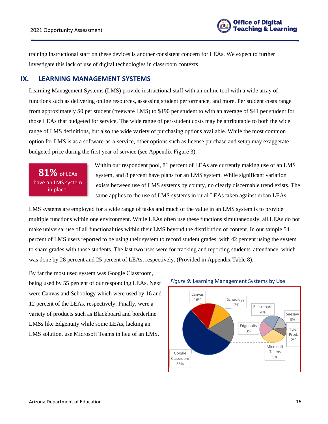

training instructional staff on these devices is another consistent concern for LEAs. We expect to further investigate this lack of use of digital technologies in classroom contexts.

## <span id="page-16-0"></span>**IX. LEARNING MANAGEMENT SYSTEMS**

Learning Management Systems (LMS) provide instructional staff with an online tool with a wide array of functions such as delivering online resources, assessing student performance, and more. Per student costs range from approximately \$0 per student (freeware LMS) to \$190 per student to with an average of \$41 per student for those LEAs that budgeted for service. The wide range of per-student costs may be attributable to both the wide range of LMS definitions, but also the wide variety of purchasing options available. While the most common option for LMS is as a software-as-a-service, other options such as license purchase and setup may exaggerate budgeted price during the first year of service (see Appendix Figure 3).

**81%** of LEAs have an LMS system in place.

Within our respondent pool, 81 percent of LEAs are currently making use of an LMS system, and 8 percent have plans for an LMS system. While significant variation exists between use of LMS systems by county, no clearly discernable trend exists. The same applies to the use of LMS systems in rural LEAs taken against urban LEAs.

LMS systems are employed for a wide range of tasks and much of the value in an LMS system is to provide multiple functions within one environment. While LEAs often use these functions simultaneously, all LEAs do not make universal use of all functionalities within their LMS beyond the distribution of content. In our sample 54 percent of LMS users reported to be using their system to record student grades, with 42 percent using the system to share grades with those students. The last two uses were for tracking and reporting students' attendance, which was done by 28 percent and 25 percent of LEAs, respectively. (Provided in Appendix Table 8).

By far the most used system was Google Classroom, being used by 55 percent of our responding LEAs. Next were Canvas and Schoology which were used by 16 and 12 percent of the LEAs, respectively. Finally, were a variety of products such as Blackboard and borderline LMSs like Edgenuity while some LEAs, lacking an LMS solution, use Microsoft Teams in lieu of an LMS.



#### *Figure 9:* Learning Management Systems by Use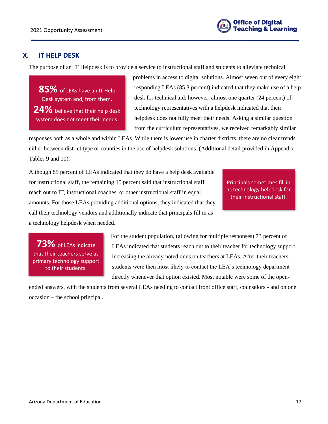

## <span id="page-17-0"></span>**X. IT HELP DESK**

The purpose of an IT Helpdesk is to provide a service to instructional staff and students to alleviate technical

**85%** of LEAs have an IT Help Desk system and, from them, **24%** believe that their help desk system does not meet their needs.

problems in access to digital solutions. Almost seven out of every eight responding LEAs (85.3 percent) indicated that they make use of a help desk for technical aid; however, almost one quarter (24 percent) of technology representatives with a helpdesk indicated that their helpdesk does not fully meet their needs. Asking a similar question from the curriculum representatives, we received remarkably similar

responses both as a whole and within LEAs. While there is lower use in charter districts, there are no clear trends either between district type or counties in the use of helpdesk solutions. (Additional detail provided in Appendix Tables 9 and 10).

Although 85 percent of LEAs indicated that they do have a help desk available for instructional staff, the remaining 15 percent said that instructional staff reach out to IT, instructional coaches, or other instructional staff in equal amounts. For those LEAs providing additional options, they indicated that they call their technology vendors and additionally indicate that principals fill in as a technology helpdesk when needed.

Principals sometimes fill in as technology helpdesk for their instructional staff.

**73%** of LEAs indicate that their teachers serve as primary technology support to their students.

For the student population, (allowing for multiple responses) 73 percent of LEAs indicated that students reach out to their teacher for technology support, increasing the already noted onus on teachers at LEAs. After their teachers, students were then most likely to contact the LEA's technology department directly whenever that option existed. Most notable were some of the open-

ended answers, with the students from several LEAs needing to contact front office staff, counselors - and on one occasion – the school principal.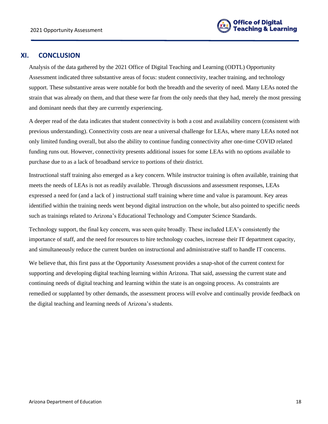

## <span id="page-18-0"></span>**XI. CONCLUSION**

Analysis of the data gathered by the 2021 Office of Digital Teaching and Learning (ODTL) Opportunity Assessment indicated three substantive areas of focus: student connectivity, teacher training, and technology support. These substantive areas were notable for both the breadth and the severity of need. Many LEAs noted the strain that was already on them, and that these were far from the only needs that they had, merely the most pressing and dominant needs that they are currently experiencing.

A deeper read of the data indicates that student connectivity is both a cost and availability concern (consistent with previous understanding). Connectivity costs are near a universal challenge for LEAs, where many LEAs noted not only limited funding overall, but also the ability to continue funding connectivity after one-time COVID related funding runs out. However, connectivity presents additional issues for some LEAs with no options available to purchase due to as a lack of broadband service to portions of their district.

Instructional staff training also emerged as a key concern. While instructor training is often available, training that meets the needs of LEAs is not as readily available. Through discussions and assessment responses, LEAs expressed a need for (and a lack of ) instructional staff training where time and value is paramount. Key areas identified within the training needs went beyond digital instruction on the whole, but also pointed to specific needs such as trainings related to Arizona's Educational Technology and Computer Science Standards.

Technology support, the final key concern, was seen quite broadly. These included LEA's consistently the importance of staff, and the need for resources to hire technology coaches, increase their IT department capacity, and simultaneously reduce the current burden on instructional and administrative staff to handle IT concerns.

We believe that, this first pass at the Opportunity Assessment provides a snap-shot of the current context for supporting and developing digital teaching learning within Arizona. That said, assessing the current state and continuing needs of digital teaching and learning within the state is an ongoing process. As constraints are remedied or supplanted by other demands, the assessment process will evolve and continually provide feedback on the digital teaching and learning needs of Arizona's students.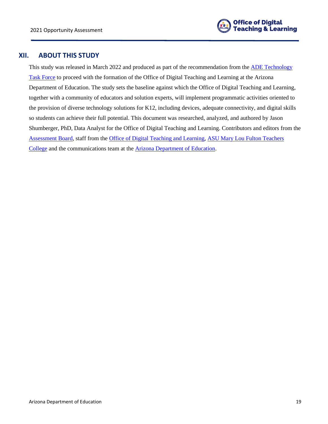

## <span id="page-19-0"></span>**XII. ABOUT THIS STUDY**

This study was released in March 2022 and produced as part of the recommendation from the [ADE Technology](https://www.azed.gov/communications/arizona-department-education-technology-task-force-releases-recommendations-and-0)  [Task Force](https://www.azed.gov/communications/arizona-department-education-technology-task-force-releases-recommendations-and-0) to proceed with the formation of the Office of Digital Teaching and Learning at the Arizona Department of Education. The study sets the baseline against which the Office of Digital Teaching and Learning, together with a community of educators and solution experts, will implement programmatic activities oriented to the provision of diverse technology solutions for K12, including devices, adequate connectivity, and digital skills so students can achieve their full potential. This document was researched, analyzed, and authored by Jason Shumberger, PhD, Data Analyst for the Office of Digital Teaching and Learning. Contributors and editors from the [Assessment Board,](https://www.azed.gov/technology/odtl-assessment-board) staff from the [Office of Digital Teaching and Learning,](https://www.azed.gov/technology/ODTL) [ASU Mary Lou Fulton Teachers](https://education.asu.edu/)  [College](https://education.asu.edu/) and the communications team at the [Arizona Department of Education.](https://www.azed.gov/)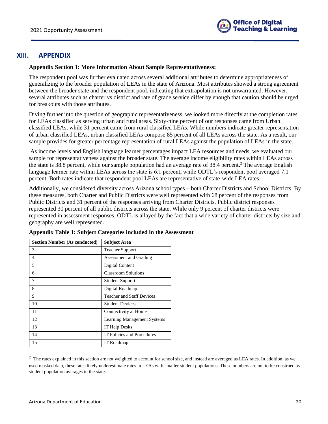

## <span id="page-20-0"></span>**XIII. APPENDIX**

#### **Appendix Section 1: More Information About Sample Representativeness:**

The respondent pool was further evaluated across several additional attributes to determine appropriateness of generalizing to the broader population of LEAs in the state of Arizona. Most attributes showed a strong agreement between the broader state and the respondent pool, indicating that extrapolation is not unwarranted. However, several attributes such as charter vs district and rate of grade service differ by enough that caution should be urged for breakouts with those attributes.

Diving further into the question of geographic representativeness, we looked more directly at the completion rates for LEAs classified as serving urban and rural areas. Sixty-nine percent of our responses came from Urban classified LEAs, while 31 percent came from rural classified LEAs. While numbers indicate greater representation of urban classified LEAs, urban classified LEAs compose 85 percent of all LEAs across the state. As a result, our sample provides for greater percentage representation of rural LEAs against the population of LEAs in the state.

As income levels and English language learner percentages impact LEA resources and needs, we evaluated our sample for representativeness against the broader state. The average income eligibility rates within LEAs across the state is 38.8 percent, while our sample population had an average rate of 38.4 percent.<sup>2</sup> The average English language learner rate within LEAs across the state is 6.1 percent, while ODTL's respondent pool averaged 7.1 percent. Both rates indicate that respondent pool LEAs are representative of state-wide LEA rates.

Additionally, we considered diversity across Arizona school types – both Charter Districts and School Districts. By these measures, both Charter and Public Districts were well represented with 68 percent of the responses from Public Districts and 31 percent of the responses arriving from Charter Districts. Public district responses represented 30 percent of all public districts across the state. While only 9 percent of charter districts were represented in assessment responses, ODTL is allayed by the fact that a wide variety of charter districts by size and geography are well represented.

| <b>Section Number (As conducted)</b> | <b>Subject Area</b>                |
|--------------------------------------|------------------------------------|
| 3                                    | <b>Teacher Support</b>             |
| 4                                    | Assessment and Grading             |
| 5                                    | Digital Content                    |
| 6                                    | <b>Classroom Solutions</b>         |
| 7                                    | <b>Student Support</b>             |
| 8                                    | Digital Roadmap                    |
| 9                                    | <b>Teacher and Staff Devices</b>   |
| 10                                   | <b>Student Devices</b>             |
| 11                                   | Connectivity at Home               |
| 12                                   | <b>Learning Management Systems</b> |
| 13                                   | <b>IT Help Desks</b>               |
| 14                                   | IT Policies and Procedures         |
| 15                                   | IT Roadmap                         |

|  |  |  | Appendix Table 1: Subject Categories included in the Assessment |
|--|--|--|-----------------------------------------------------------------|
|  |  |  |                                                                 |

<sup>&</sup>lt;sup>2</sup> The rates explained in this section are not weighted to account for school size, and instead are averaged as LEA rates. In addition, as we used masked data, these rates likely underestimate rates in LEAs with smaller student populations. These numbers are not to be construed as student population averages in the state.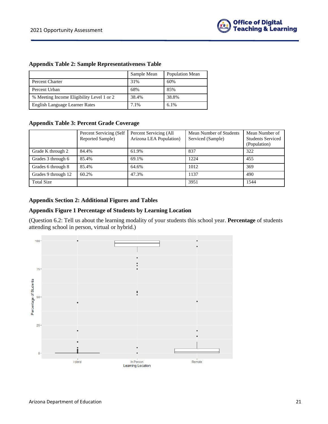|  |  |  | <b>Appendix Table 2: Sample Representativeness Table</b> |  |
|--|--|--|----------------------------------------------------------|--|
|--|--|--|----------------------------------------------------------|--|

|                                           | Sample Mean | Population Mean |
|-------------------------------------------|-------------|-----------------|
| Percent Charter                           | 31%         | 60%             |
| Percent Urban                             | 68%         | 85%             |
| % Meeting Income Eligibility Level 1 or 2 | 38.4%       | 38.8%           |
| English Language Learner Rates            | 7.1%        | 6.1%            |

#### **Appendix Table 3: Percent Grade Coverage**

|                     | Percent Servicing (Self<br>Reported Sample) | Percent Servicing (All<br>Arizona LEA Population) | Mean Number of Students<br>Serviced (Sample) | Mean Number of<br><b>Students Serviced</b><br>(Population) |
|---------------------|---------------------------------------------|---------------------------------------------------|----------------------------------------------|------------------------------------------------------------|
| Grade K through 2   | 84.4%                                       | 61.9%                                             | 837                                          | 322                                                        |
| Grades 3 through 6  | 85.4%                                       | 69.1%                                             | 1224                                         | 455                                                        |
| Grades 6 through 8  | 85.4%                                       | 64.6%                                             | 1012                                         | 369                                                        |
| Grades 9 through 12 | 60.2%                                       | 47.3%                                             | 1137                                         | 490                                                        |
| <b>Total Size</b>   |                                             |                                                   | 3951                                         | 1544                                                       |

## **Appendix Section 2: Additional Figures and Tables**

## **Appendix Figure 1 Percentage of Students by Learning Location**

(Question 6.2: Tell us about the learning modality of your students this school year. **Percentage** of students attending school in person, virtual or hybrid.)

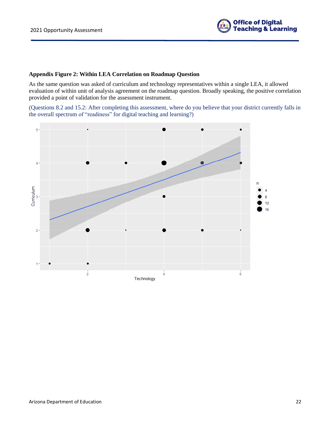

## **Appendix Figure 2: Within LEA Correlation on Roadmap Question**

As the same question was asked of curriculum and technology representatives within a single LEA, it allowed evaluation of within unit of analysis agreement on the roadmap question. Broadly speaking, the positive correlation provided a point of validation for the assessment instrument.

(Questions 8.2 and 15.2: After completing this assessment, where do you believe that your district currently falls in the overall spectrum of "readiness" for digital teaching and learning?)

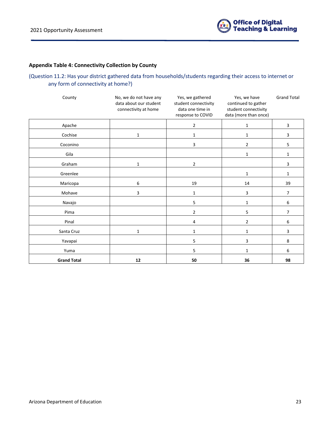

## **Appendix Table 4: Connectivity Collection by County**

## (Question 11.2: Has your district gathered data from households/students regarding their access to internet or any form of connectivity at home?)

| County             | No, we do not have any<br>data about our student<br>connectivity at home |                | Yes, we have<br>continued to gather<br>student connectivity<br>data (more than once) | <b>Grand Total</b> |
|--------------------|--------------------------------------------------------------------------|----------------|--------------------------------------------------------------------------------------|--------------------|
| Apache             |                                                                          | 2              | 1                                                                                    | 3                  |
| Cochise            | 1                                                                        | 1              | 1                                                                                    | 3                  |
| Coconino           |                                                                          | 3              | $\overline{2}$                                                                       | 5                  |
| Gila               |                                                                          |                | $\mathbf{1}$                                                                         | $\mathbf 1$        |
| Graham             | $\mathbf{1}$                                                             | $\overline{2}$ |                                                                                      | 3                  |
| Greenlee           |                                                                          |                | $\mathbf{1}$                                                                         | $\mathbf{1}$       |
| Maricopa           | 6                                                                        | 19             | 14                                                                                   | 39                 |
| Mohave             | 3                                                                        | 1              | 3                                                                                    | 7                  |
| Navajo             |                                                                          | 5              | $\mathbf{1}$                                                                         | 6                  |
| Pima               |                                                                          | 2              | 5                                                                                    | 7                  |
| Pinal              |                                                                          | 4              | $\overline{2}$                                                                       | 6                  |
| Santa Cruz         | 1                                                                        | $\mathbf{1}$   | $\mathbf{1}$                                                                         | 3                  |
| Yavapai            |                                                                          | 5              | 3                                                                                    | 8                  |
| Yuma               |                                                                          | 5              | $\mathbf{1}$                                                                         | 6                  |
| <b>Grand Total</b> | 12                                                                       | 50             | 36                                                                                   | 98                 |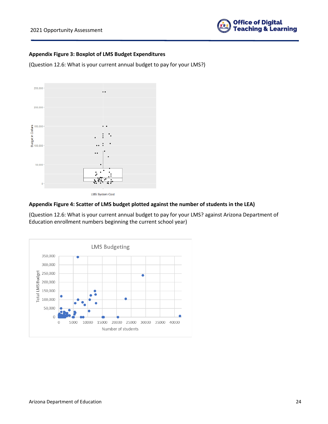

#### **Appendix Figure 3: Boxplot of LMS Budget Expenditures**

(Question 12.6: What is your current annual budget to pay for your LMS?)



## **Appendix Figure 4: Scatter of LMS budget plotted against the number of students in the LEA)**

(Question 12.6: What is your current annual budget to pay for your LMS? against Arizona Department of Education enrollment numbers beginning the current school year)

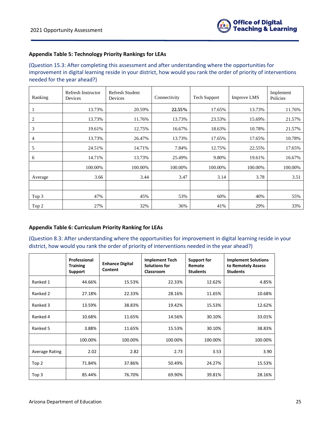## **Appendix Table 5: Technology Priority Rankings for LEAs**

(Question 15.3: After completing this assessment and after understanding where the opportunities for improvement in digital learning reside in your district, how would you rank the order of priority of interventions needed for the year ahead?)

| Ranking | Refresh Instructor<br>Devices | Refresh Student<br>Devices | Connectivity | <b>Tech Support</b> | <b>Improve LMS</b> | Implement<br>Policies |
|---------|-------------------------------|----------------------------|--------------|---------------------|--------------------|-----------------------|
|         | 13.73%                        | 20.59%                     | 22.55%       | 17.65%              | 13.73%             | 11.76%                |
| 2       | 13.73%                        | 11.76%                     | 13.73%       | 23.53%              | 15.69%             | 21.57%                |
| 3       | 19.61%                        | 12.75%                     | 16.67%       | 18.63%              | 10.78%             | 21.57%                |
| 4       | 13.73%                        | 26.47%                     | 13.73%       | 17.65%              | 17.65%             | 10.78%                |
| 5       | 24.51%                        | 14.71%                     | 7.84%        | 12.75%              | 22.55%             | 17.65%                |
| 6       | 14.71%                        | 13.73%                     | 25.49%       | 9.80%               | 19.61%             | 16.67%                |
|         | 100.00%                       | 100.00%                    | 100.00%      | 100.00%             | 100.00%            | 100.00%               |
| Average | 3.66                          | 3.44                       | 3.47         | 3.14                | 3.78               | 3.51                  |
|         |                               |                            |              |                     |                    |                       |
| Top 3   | 47%                           | 45%                        | 53%          | 60%                 | 40%                | 55%                   |
| Top 2   | 27%                           | 32%                        | 36%          | 41%                 | 29%                | 33%                   |

## **Appendix Table 6: Curriculum Priority Ranking for LEAs**

(Question 8.3: After understanding where the opportunities for improvement in digital learning reside in your district, how would you rank the order of priority of interventions needed in the year ahead?)

|                       | Professional<br><b>Training</b><br>Support | <b>Enhance Digital</b><br>Content | <b>Implement Tech</b><br><b>Solutions for</b><br>Classroom | Support for<br>Remote<br><b>Students</b> | <b>Implement Solutions</b><br>to Remotely Assess<br><b>Students</b> |
|-----------------------|--------------------------------------------|-----------------------------------|------------------------------------------------------------|------------------------------------------|---------------------------------------------------------------------|
| Ranked 1              | 44.66%                                     | 15.53%                            | 22.33%                                                     | 12.62%                                   | 4.85%                                                               |
| Ranked 2              | 27.18%                                     | 22.33%                            | 28.16%                                                     | 11.65%                                   | 10.68%                                                              |
| Ranked 3              | 13.59%                                     | 38.83%                            | 19.42%                                                     | 15.53%                                   | 12.62%                                                              |
| Ranked 4              | 10.68%                                     | 11.65%                            | 14.56%                                                     | 30.10%                                   | 33.01%                                                              |
| Ranked 5              | 3.88%                                      | 11.65%                            | 15.53%                                                     | 30.10%                                   | 38.83%                                                              |
|                       | 100.00%                                    | 100.00%                           | 100.00%                                                    | 100.00%                                  | 100.00%                                                             |
| <b>Average Rating</b> | 2.02                                       | 2.82                              | 2.73                                                       | 3.53                                     | 3.90                                                                |
| Top 2                 | 71.84%                                     | 37.86%                            | 50.49%                                                     | 24.27%                                   | 15.53%                                                              |
| Top 3                 | 85.44%                                     | 76.70%                            | 69.90%                                                     | 39.81%                                   | 28.16%                                                              |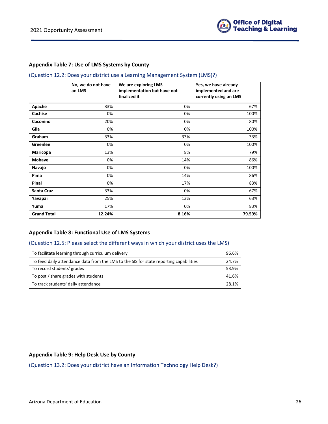

#### **Appendix Table 7: Use of LMS Systems by County**

#### (Question 12.2: Does your district use a Learning Management System (LMS)?)

|                    | No, we do not have<br>an LMS | We are exploring LMS<br>implementation but have not<br>finalized it | Yes, we have already<br>implemented and are<br>currently using an LMS |
|--------------------|------------------------------|---------------------------------------------------------------------|-----------------------------------------------------------------------|
| Apache             | 33%                          | 0%                                                                  | 67%                                                                   |
| Cochise            | 0%                           | 0%                                                                  | 100%                                                                  |
| Coconino           | 20%                          | 0%                                                                  | 80%                                                                   |
| Gila               | 0%                           | 0%                                                                  | 100%                                                                  |
| Graham             | 33%                          | 33%                                                                 | 33%                                                                   |
| Greenlee           | 0%                           | 0%                                                                  | 100%                                                                  |
| Maricopa           | 13%                          | 8%                                                                  | 79%                                                                   |
| <b>Mohave</b>      | 0%                           | 14%                                                                 | 86%                                                                   |
| Navajo             | 0%                           | 0%                                                                  | 100%                                                                  |
| Pima               | 0%                           | 14%                                                                 | 86%                                                                   |
| Pinal              | 0%                           | 17%                                                                 | 83%                                                                   |
| Santa Cruz         | 33%                          | 0%                                                                  | 67%                                                                   |
| Yavapai            | 25%                          | 13%                                                                 | 63%                                                                   |
| Yuma               | 17%                          | 0%                                                                  | 83%                                                                   |
| <b>Grand Total</b> | 12.24%                       | 8.16%                                                               | 79.59%                                                                |

#### **Appendix Table 8: Functional Use of LMS Systems**

#### (Question 12.5: Please select the different ways in which your district uses the LMS)

| To facilitate learning through curriculum delivery                                     | 96.6% |
|----------------------------------------------------------------------------------------|-------|
| To feed daily attendance data from the LMS to the SIS for state reporting capabilities | 24.7% |
| To record students' grades                                                             | 53.9% |
| To post / share grades with students                                                   | 41.6% |
| To track students' daily attendance                                                    | 28.1% |

#### **Appendix Table 9: Help Desk Use by County**

(Question 13.2: Does your district have an Information Technology Help Desk?)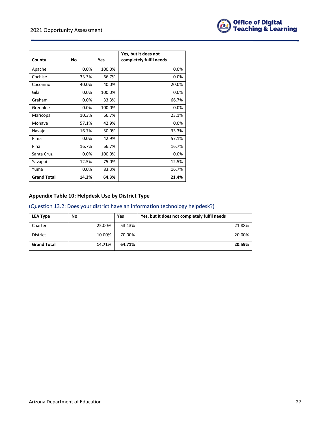

| County             | No    | Yes    | Yes, but it does not<br>completely fulfil needs |
|--------------------|-------|--------|-------------------------------------------------|
| Apache             | 0.0%  | 100.0% | 0.0%                                            |
| Cochise            | 33.3% | 66.7%  | 0.0%                                            |
| Coconino           | 40.0% | 40.0%  | 20.0%                                           |
| Gila               | 0.0%  | 100.0% | 0.0%                                            |
| Graham             | 0.0%  | 33.3%  | 66.7%                                           |
| Greenlee           | 0.0%  | 100.0% | 0.0%                                            |
| Maricopa           | 10.3% | 66.7%  | 23.1%                                           |
| Mohave             | 57.1% | 42.9%  | 0.0%                                            |
| Navajo             | 16.7% | 50.0%  | 33.3%                                           |
| Pima               | 0.0%  | 42.9%  | 57.1%                                           |
| Pinal              | 16.7% | 66.7%  | 16.7%                                           |
| Santa Cruz         | 0.0%  | 100.0% | 0.0%                                            |
| Yavapai            | 12.5% | 75.0%  | 12.5%                                           |
| Yuma               | 0.0%  | 83.3%  | 16.7%                                           |
| <b>Grand Total</b> | 14.3% | 64.3%  | 21.4%                                           |

## **Appendix Table 10: Helpdesk Use by District Type**

## (Question 13.2: Does your district have an information technology helpdesk?)

| <b>LEA Type</b>    | No     | Yes    | Yes, but it does not completely fulfil needs |
|--------------------|--------|--------|----------------------------------------------|
| Charter            | 25.00% | 53.13% | 21.88%                                       |
| <b>District</b>    | 10.00% | 70.00% | 20.00%                                       |
| <b>Grand Total</b> | 14.71% | 64.71% | 20.59%                                       |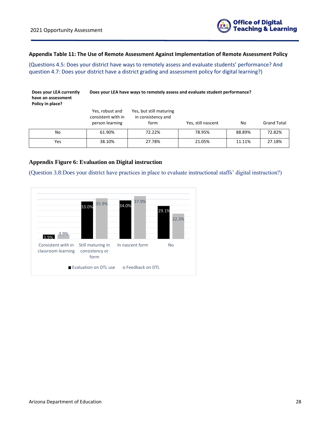

## **Appendix Table 11: The Use of Remote Assessment Against Implementation of Remote Assessment Policy**

(Questions 4.5: Does your district have ways to remotely assess and evaluate students' performance? And question 4.7: Does your district have a district grading and assessment policy for digital learning?)

| Does your LEA currently<br>have an assessment<br>Policy in place? | Does your LEA have ways to remotely assess and evaluate student performance? |                                                       |                    |        |                    |  |
|-------------------------------------------------------------------|------------------------------------------------------------------------------|-------------------------------------------------------|--------------------|--------|--------------------|--|
|                                                                   | Yes, robust and<br>consistent with in<br>person learning                     | Yes, but still maturing<br>in consistency and<br>form | Yes, still nascent | No     | <b>Grand Total</b> |  |
| No                                                                | 61.90%                                                                       | 72.22%                                                | 78.95%             | 88.89% | 72.82%             |  |
| Yes                                                               | 38.10%                                                                       | 27.78%                                                | 21.05%             | 11.11% | 27.18%             |  |

## **Appendix Figure 6: Evaluation on Digital instruction**

(Question 3.8:Does your district have practices in place to evaluate instructional staffs' digital instruction?)